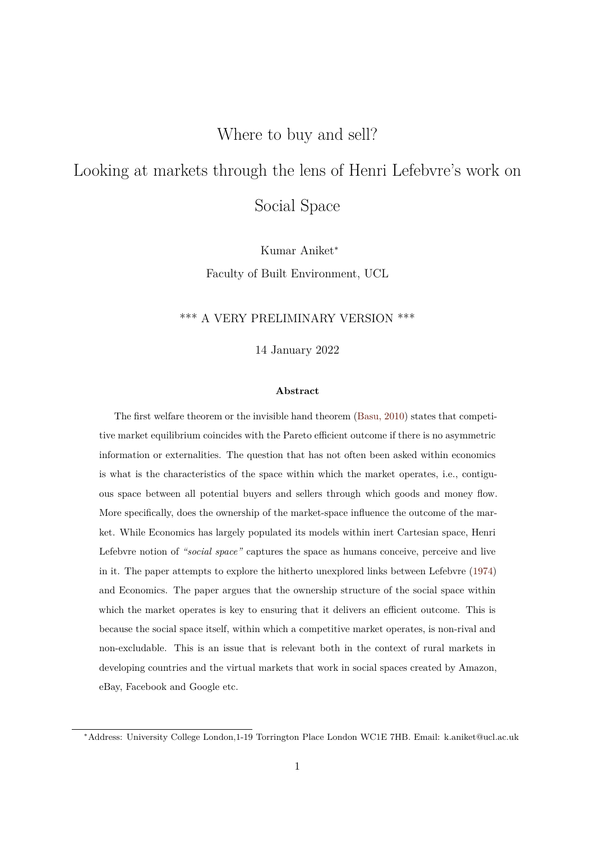## Where to buy and sell?

# Looking at markets through the lens of Henri Lefebvre's work on

Social Space

Kumar Aniket<sup>∗</sup> Faculty of Built Environment, UCL

## \*\*\* A VERY PRELIMINARY VERSION \*\*\*

14 January 2022

#### **Abstract**

The first welfare theorem or the invisible hand theorem (Basu, 2010) states that competitive market equilibrium coincides with the Pareto efficient outcome if there is no asymmetric information or externalities. The question that has not often been asked within economics is what is the characteristics of the space within which th[e market op](#page-16-0)erates, i.e., contiguous space between all potential buyers and sellers through which goods and money flow. More specifically, does the ownership of the market-space influence the outcome of the market. While Economics has largely populated its models within inert Cartesian space, Henri Lefebvre notion of *"social space"* captures the space as humans conceive, perceive and live in it. The paper attempts to explore the hitherto unexplored links between Lefebvre (1974) and Economics. The paper argues that the ownership structure of the social space within which the market operates is key to ensuring that it delivers an efficient outcome. This is because the social space itself, within which a competitive market operates, is non-riv[al and](#page-17-0) non-excludable. This is an issue that is relevant both in the context of rural markets in developing countries and the virtual markets that work in social spaces created by Amazon, eBay, Facebook and Google etc.

<sup>∗</sup>Address: University College London,1-19 Torrington Place London WC1E 7HB. Email: k.aniket@ucl.ac.uk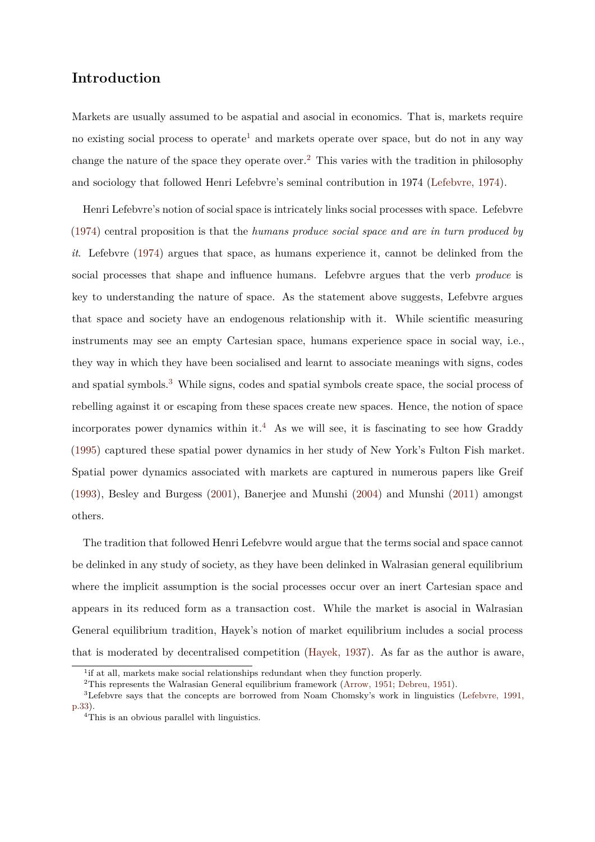## **Introduction**

Markets are usually assumed to be aspatial and asocial in economics. That is, markets require no existing social process to operate<sup>1</sup> and markets operate over space, but do not in any way change the nature of the space they operate over.<sup>2</sup> This varies with the tradition in philosophy and sociology that followed Henri Lefebvre's seminal contribution in 1974 (Lefebvre, 1974).

Henri Lefebvre's notion of social space is intricately links social processes with space. Lefebvre (1974) central proposition is that the *humans produce social space and are [in turn produce](#page-17-0)d by it*. Lefebvre (1974) argues that space, as humans experience it, cannot be delinked from the [social](#page-17-0) processes that shape and influence humans. Lefebvre argues that the verb *produce* is key to under[standi](#page-17-0)ng the nature of space. As the statement above suggests, Lefebvre argues that space and society have an endogenous relationship with it. While scientific measuring instruments may see an empty Cartesian space, humans experience space in social way, i.e., they way in which they have been socialised and learnt to associate meanings with signs, codes and spatial symbols.<sup>3</sup> While signs, codes and spatial symbols create space, the social process of rebelling against it or escaping from these spaces create new spaces. Hence, the notion of space incorporates power dynamics within it.<sup>4</sup> As we will see, it is fascinating to see how Graddy (1995) captured these spatial power dynamics in her study of New York's Fulton Fish market. Spatial power dynamics associated with markets are captured in numerous papers like Greif ([1993\)](#page-16-1), Besley and Burgess (2001), Banerjee and Munshi (2004) and Munshi (2011) amongst others.

[The](#page-17-1) tradition that followed [Henr](#page-16-2)i Lefebvre would argue th[at the](#page-16-3) terms social a[nd spa](#page-17-2)ce cannot be delinked in any study of society, as they have been delinked in Walrasian general equilibrium where the implicit assumption is the social processes occur over an inert Cartesian space and appears in its reduced form as a transaction cost. While the market is asocial in Walrasian General equilibrium tradition, Hayek's notion of market equilibrium includes a social process that is moderated by decentralised competition (Hayek, 1937). As far as the author is aware,

<sup>&</sup>lt;sup>1</sup>if at all, markets make social relationships redundant when they function properly.

<sup>2</sup>This represents the Walrasian General equilibrium framework (Arrow, 1951; Debreu, 1951).

<sup>3</sup>Lefebvre says that the concepts are borrowed from [Noam Chomsky](#page-17-3)'s work in linguistics (Lefebvre, 1991, p.33).

<sup>4</sup>This is an obvious parallel with linguistics.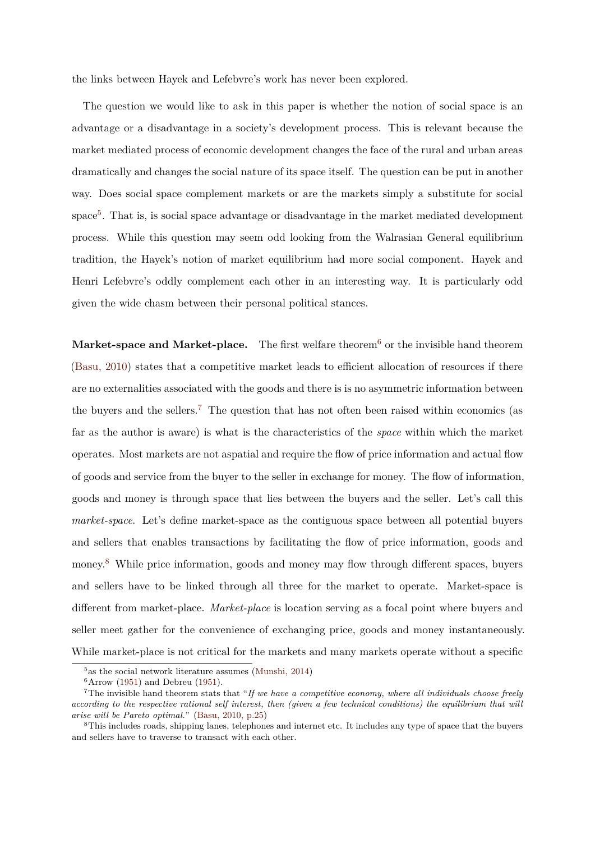the links between Hayek and Lefebvre's work has never been explored.

The question we would like to ask in this paper is whether the notion of social space is an advantage or a disadvantage in a society's development process. This is relevant because the market mediated process of economic development changes the face of the rural and urban areas dramatically and changes the social nature of its space itself. The question can be put in another way. Does social space complement markets or are the markets simply a substitute for social space<sup>5</sup>. That is, is social space advantage or disadvantage in the market mediated development process. While this question may seem odd looking from the Walrasian General equilibrium tradition, the Hayek's notion of market equilibrium had more social component. Hayek and Henri Lefebvre's oddly complement each other in an interesting way. It is particularly odd given the wide chasm between their personal political stances.

**Market-space and Market-place.** The first welfare theorem<sup>6</sup> or the invisible hand theorem (Basu, 2010) states that a competitive market leads to efficient allocation of resources if there are no externalities associated with the goods and there is is no asymmetric information between [the buyers a](#page-16-0)nd the sellers.<sup>7</sup> The question that has not often been raised within economics (as far as the author is aware) is what is the characteristics of the *space* within which the market operates. Most markets are not aspatial and require the flow of price information and actual flow of goods and service from the buyer to the seller in exchange for money. The flow of information, goods and money is through space that lies between the buyers and the seller. Let's call this *market-space*. Let's define market-space as the contiguous space between all potential buyers and sellers that enables transactions by facilitating the flow of price information, goods and money.<sup>8</sup> While price information, goods and money may flow through different spaces, buyers and sellers have to be linked through all three for the market to operate. Market-space is different from market-place. *Market-place* is location serving as a focal point where buyers and seller meet gather for the convenience of exchanging price, goods and money instantaneously. While market-place is not critical for the markets and many markets operate without a specific

 $5$ as the social network literature assumes (Munshi, 2014)

 $6$ Arrow (1951) and Debreu (1951).

<sup>7</sup>The invisible hand theorem stats that "*If we have a competitive economy, where all individuals choose freely according to the respective rational self interest, then (given a few technical conditions) the equilibrium that will arise will be Pareto optimal.*" (Basu, 2010, p.25)

<sup>8</sup>This in[cludes](#page-16-4) roads, shippi[ng lan](#page-16-5)es, telep[hones and inte](#page-17-4)rnet etc. It includes any type of space that the buyers and sellers have to traverse to transact with each other.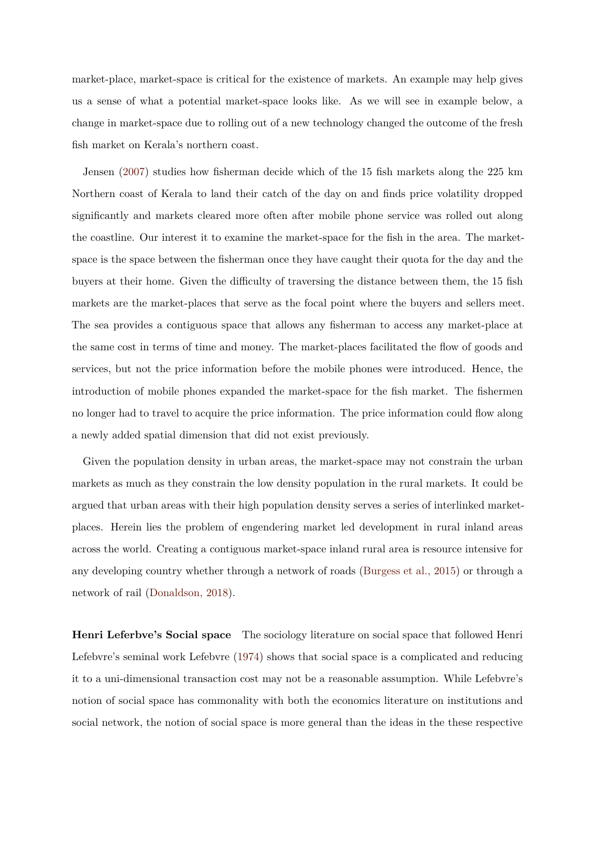market-place, market-space is critical for the existence of markets. An example may help gives us a sense of what a potential market-space looks like. As we will see in example below, a change in market-space due to rolling out of a new technology changed the outcome of the fresh fish market on Kerala's northern coast.

Jensen (2007) studies how fisherman decide which of the 15 fish markets along the 225 km Northern coast of Kerala to land their catch of the day on and finds price volatility dropped significant[ly an](#page-17-5)d markets cleared more often after mobile phone service was rolled out along the coastline. Our interest it to examine the market-space for the fish in the area. The marketspace is the space between the fisherman once they have caught their quota for the day and the buyers at their home. Given the difficulty of traversing the distance between them, the 15 fish markets are the market-places that serve as the focal point where the buyers and sellers meet. The sea provides a contiguous space that allows any fisherman to access any market-place at the same cost in terms of time and money. The market-places facilitated the flow of goods and services, but not the price information before the mobile phones were introduced. Hence, the introduction of mobile phones expanded the market-space for the fish market. The fishermen no longer had to travel to acquire the price information. The price information could flow along a newly added spatial dimension that did not exist previously.

Given the population density in urban areas, the market-space may not constrain the urban markets as much as they constrain the low density population in the rural markets. It could be argued that urban areas with their high population density serves a series of interlinked marketplaces. Herein lies the problem of engendering market led development in rural inland areas across the world. Creating a contiguous market-space inland rural area is resource intensive for any developing country whether through a network of roads (Burgess et al., 2015) or through a network of rail (Donaldson, 2018).

**Henri Leferbv[e's Social space](#page-16-6)** The sociology literature on social space that followed Henri Lefebvre's seminal work Lefebvre (1974) shows that social space is a complicated and reducing it to a uni-dimensional transaction cost may not be a reasonable assumption. While Lefebvre's notion of social space has common[ality](#page-17-0) with both the economics literature on institutions and social network, the notion of social space is more general than the ideas in the these respective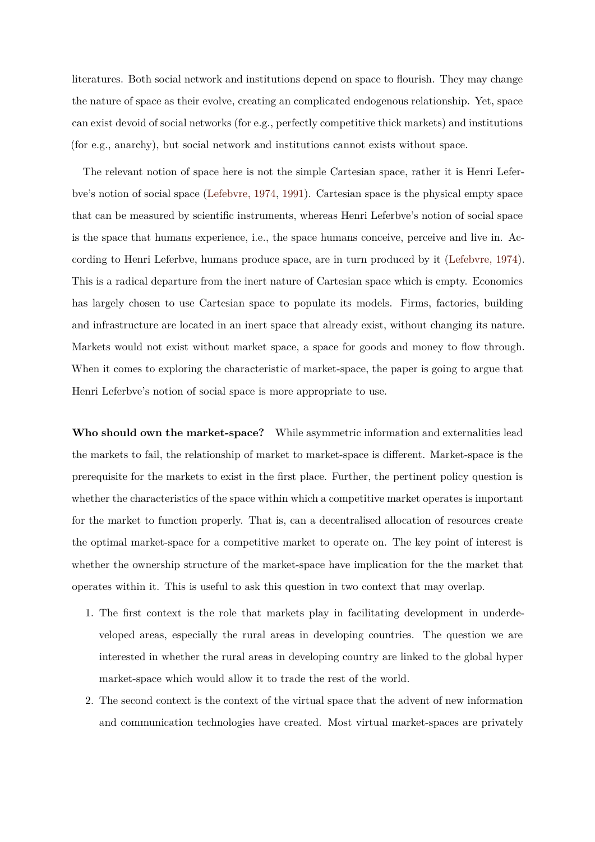literatures. Both social network and institutions depend on space to flourish. They may change the nature of space as their evolve, creating an complicated endogenous relationship. Yet, space can exist devoid of social networks (for e.g., perfectly competitive thick markets) and institutions (for e.g., anarchy), but social network and institutions cannot exists without space.

The relevant notion of space here is not the simple Cartesian space, rather it is Henri Leferbve's notion of social space (Lefebvre, 1974, 1991). Cartesian space is the physical empty space that can be measured by scientific instruments, whereas Henri Leferbve's notion of social space is the space that humans ex[perience, i.e., t](#page-17-0)[he spa](#page-17-6)ce humans conceive, perceive and live in. According to Henri Leferbve, humans produce space, are in turn produced by it (Lefebvre, 1974). This is a radical departure from the inert nature of Cartesian space which is empty. Economics has largely chosen to use Cartesian space to populate its models. Firms, fa[ctories, building](#page-17-0) and infrastructure are located in an inert space that already exist, without changing its nature. Markets would not exist without market space, a space for goods and money to flow through. When it comes to exploring the characteristic of market-space, the paper is going to argue that Henri Leferbve's notion of social space is more appropriate to use.

**Who should own the market-space?** While asymmetric information and externalities lead the markets to fail, the relationship of market to market-space is different. Market-space is the prerequisite for the markets to exist in the first place. Further, the pertinent policy question is whether the characteristics of the space within which a competitive market operates is important for the market to function properly. That is, can a decentralised allocation of resources create the optimal market-space for a competitive market to operate on. The key point of interest is whether the ownership structure of the market-space have implication for the the market that operates within it. This is useful to ask this question in two context that may overlap.

- 1. The first context is the role that markets play in facilitating development in underdeveloped areas, especially the rural areas in developing countries. The question we are interested in whether the rural areas in developing country are linked to the global hyper market-space which would allow it to trade the rest of the world.
- 2. The second context is the context of the virtual space that the advent of new information and communication technologies have created. Most virtual market-spaces are privately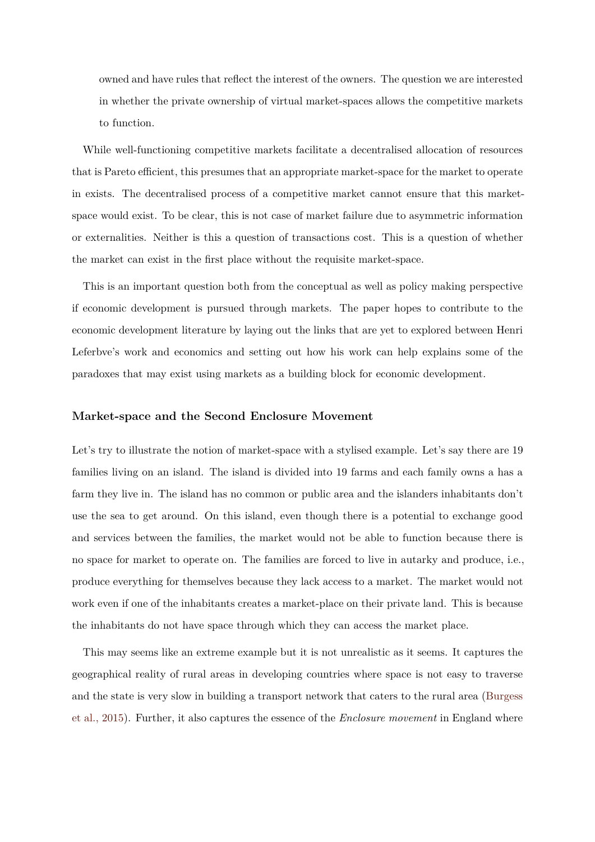owned and have rules that reflect the interest of the owners. The question we are interested in whether the private ownership of virtual market-spaces allows the competitive markets to function.

While well-functioning competitive markets facilitate a decentralised allocation of resources that is Pareto efficient, this presumes that an appropriate market-space for the market to operate in exists. The decentralised process of a competitive market cannot ensure that this marketspace would exist. To be clear, this is not case of market failure due to asymmetric information or externalities. Neither is this a question of transactions cost. This is a question of whether the market can exist in the first place without the requisite market-space.

This is an important question both from the conceptual as well as policy making perspective if economic development is pursued through markets. The paper hopes to contribute to the economic development literature by laying out the links that are yet to explored between Henri Leferbve's work and economics and setting out how his work can help explains some of the paradoxes that may exist using markets as a building block for economic development.

### **Market-space and the Second Enclosure Movement**

Let's try to illustrate the notion of market-space with a stylised example. Let's say there are 19 families living on an island. The island is divided into 19 farms and each family owns a has a farm they live in. The island has no common or public area and the islanders inhabitants don't use the sea to get around. On this island, even though there is a potential to exchange good and services between the families, the market would not be able to function because there is no space for market to operate on. The families are forced to live in autarky and produce, i.e., produce everything for themselves because they lack access to a market. The market would not work even if one of the inhabitants creates a market-place on their private land. This is because the inhabitants do not have space through which they can access the market place.

This may seems like an extreme example but it is not unrealistic as it seems. It captures the geographical reality of rural areas in developing countries where space is not easy to traverse and the state is very slow in building a transport network that caters to the rural area (Burgess et al., 2015). Further, it also captures the essence of the *Enclosure movement* in England where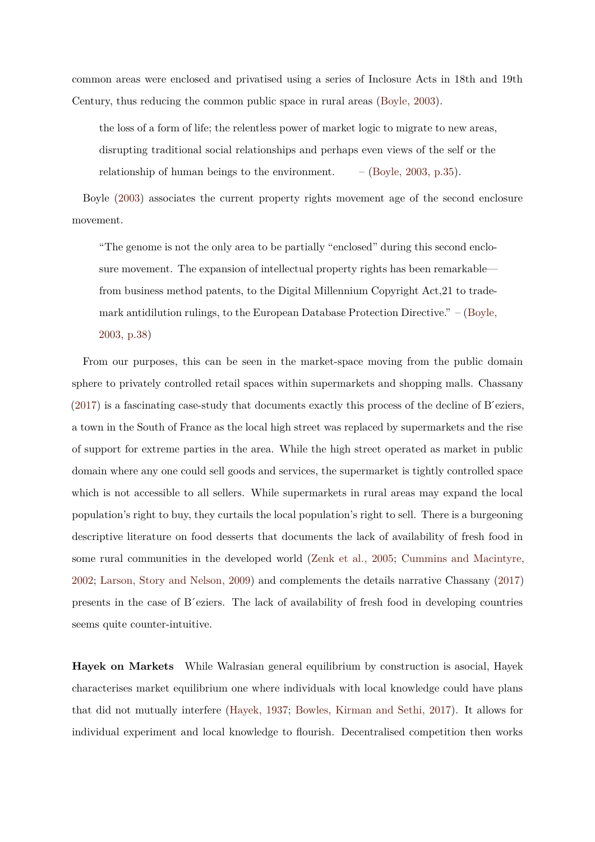common areas were enclosed and privatised using a series of Inclosure Acts in 18th and 19th Century, thus reducing the common public space in rural areas (Boyle, 2003).

the loss of a form of life; the relentless power of market logic to migrate to new areas, disrupting traditional social relationships and perhaps eve[n views of th](#page-16-7)e self or the relationship of human beings to the environment.  $-$  (Boyle, 2003, p.35).

Boyle (2003) associates the current property rights movement age of the second enclosure movement.

"T[he gen](#page-16-7)ome is not the only area to be partially "enclosed" during this second enclosure movement. The expansion of intellectual property rights has been remarkable from business method patents, to the Digital Millennium Copyright Act,21 to trademark antidilution rulings, to the European Database Protection Directive." – (Boyle, 2003, p.38)

From our purposes, this can be seen in the market-space moving from the pu[blic do](#page-16-7)main spher[e to privat](#page-16-7)ely controlled retail spaces within supermarkets and shopping malls. Chassany  $(2017)$  is a fascinating case-study that documents exactly this process of the decline of B'eziers, a town in the South of France as the local high street was replaced by supermarkets and the rise [of sup](#page-16-8)port for extreme parties in the area. While the high street operated as market in public domain where any one could sell goods and services, the supermarket is tightly controlled space which is not accessible to all sellers. While supermarkets in rural areas may expand the local population's right to buy, they curtails the local population's right to sell. There is a burgeoning descriptive literature on food desserts that documents the lack of availability of fresh food in some rural communities in the developed world (Zenk et al., 2005; Cummins and Macintyre, 2002; Larson, Story and Nelson, 2009) and complements the details narrative Chassany (2017) presents in the case of B ́eziers. The lack of avai[lability of fresh fo](#page-18-0)o[d in developing countries](#page-16-9) [seem](#page-16-9)s [quite counter-intuitive.](#page-17-7)

**Hayek on Markets** While Walrasian general equilibrium by construction is asocial, Hayek characterises market equilibrium one where individuals with local knowledge could have plans that did not mutually interfere (Hayek, 1937; Bowles, Kirman and Sethi, 2017). It allows for individual experiment and local knowledge to flourish. Decentralised competition then works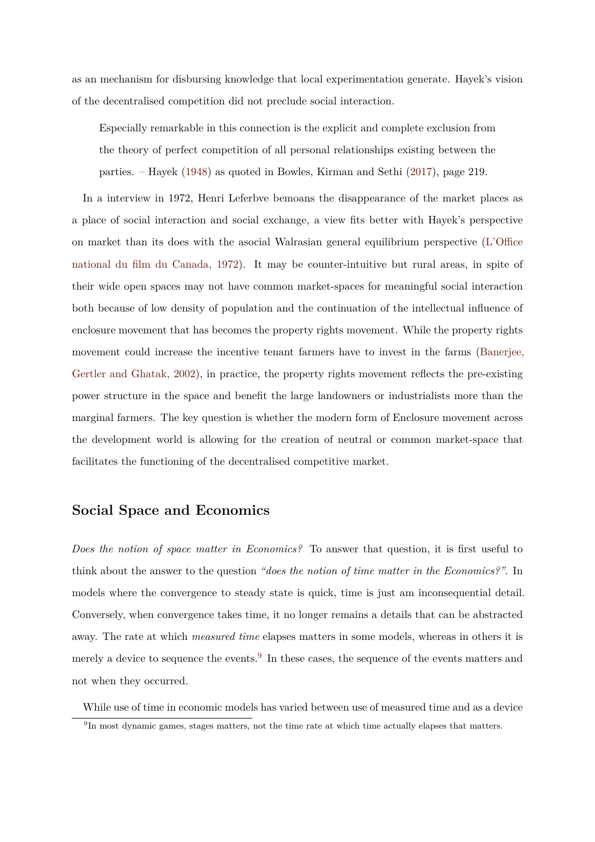as an mechanism for disbursing knowledge that local experimentation generate. Hayek's vision of the decentralised competition did not preclude social interaction.

Especially remarkable in this connection is the explicit and complete exclusion from the theory of perfect competition of all personal relationships existing between the parties. – Hayek (1948) as quoted in Bowles, Kirman and Sethi (2017), page 219.

In a interview in 1972, Henri Leferbve bemoans the disappearance of the market places as a place of social intera[ction](#page-17-8) and social exchange, a view fits better w[ith H](#page-16-10)ayek's perspective on market than its does with the asocial Walrasian general equilibrium perspective (L'Office national du film du Canada, 1972). It may be counter-intuitive but rural areas, in spite of their wide open spaces may not have common market-spaces for meaningful social int[eraction](#page-17-9) [both because of low density of pop](#page-17-9)ulation and the continuation of the intellectual influence of enclosure movement that has becomes the property rights movement. While the property rights movement could increase the incentive tenant farmers have to invest in the farms (Banerjee, Gertler and Ghatak, 2002), in practice, the property rights movement reflects the pre-existing power structure in the space and benefit the large landowners or industrialists more [than the](#page-16-11) [marginal farmers. The key](#page-16-11) question is whether the modern form of Enclosure movement across the development world is allowing for the creation of neutral or common market-space that facilitates the functioning of the decentralised competitive market.

## **Social Space and Economics**

*Does the notion of space matter in Economics?* To answer that question, it is first useful to think about the answer to the question *"does the notion of time matter in the Economics?"*. In models where the convergence to steady state is quick, time is just am inconsequential detail. Conversely, when convergence takes time, it no longer remains a details that can be abstracted away. The rate at which *measured time* elapses matters in some models, whereas in others it is merely a device to sequence the events.<sup>9</sup> In these cases, the sequence of the events matters and not when they occurred.

While use of time in economic models has varied between use of measured time and as a device

<sup>9</sup> In most dynamic games, stages matters, not the time rate at which time actually elapses that matters.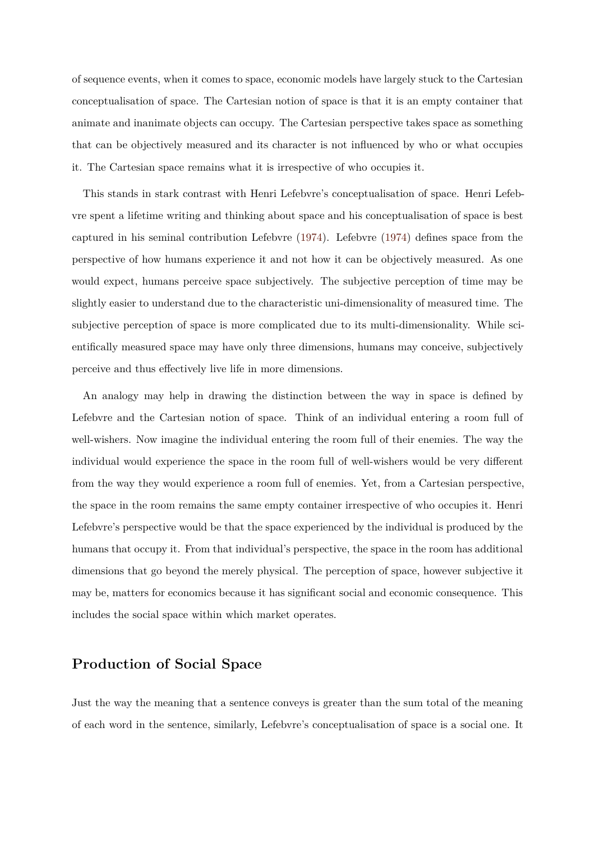of sequence events, when it comes to space, economic models have largely stuck to the Cartesian conceptualisation of space. The Cartesian notion of space is that it is an empty container that animate and inanimate objects can occupy. The Cartesian perspective takes space as something that can be objectively measured and its character is not influenced by who or what occupies it. The Cartesian space remains what it is irrespective of who occupies it.

This stands in stark contrast with Henri Lefebvre's conceptualisation of space. Henri Lefebvre spent a lifetime writing and thinking about space and his conceptualisation of space is best captured in his seminal contribution Lefebvre (1974). Lefebvre (1974) defines space from the perspective of how humans experience it and not how it can be objectively measured. As one would expect, humans perceive space subjectiv[ely. T](#page-17-0)he subjecti[ve per](#page-17-0)ception of time may be slightly easier to understand due to the characteristic uni-dimensionality of measured time. The subjective perception of space is more complicated due to its multi-dimensionality. While scientifically measured space may have only three dimensions, humans may conceive, subjectively perceive and thus effectively live life in more dimensions.

An analogy may help in drawing the distinction between the way in space is defined by Lefebvre and the Cartesian notion of space. Think of an individual entering a room full of well-wishers. Now imagine the individual entering the room full of their enemies. The way the individual would experience the space in the room full of well-wishers would be very different from the way they would experience a room full of enemies. Yet, from a Cartesian perspective, the space in the room remains the same empty container irrespective of who occupies it. Henri Lefebvre's perspective would be that the space experienced by the individual is produced by the humans that occupy it. From that individual's perspective, the space in the room has additional dimensions that go beyond the merely physical. The perception of space, however subjective it may be, matters for economics because it has significant social and economic consequence. This includes the social space within which market operates.

### **Production of Social Space**

Just the way the meaning that a sentence conveys is greater than the sum total of the meaning of each word in the sentence, similarly, Lefebvre's conceptualisation of space is a social one. It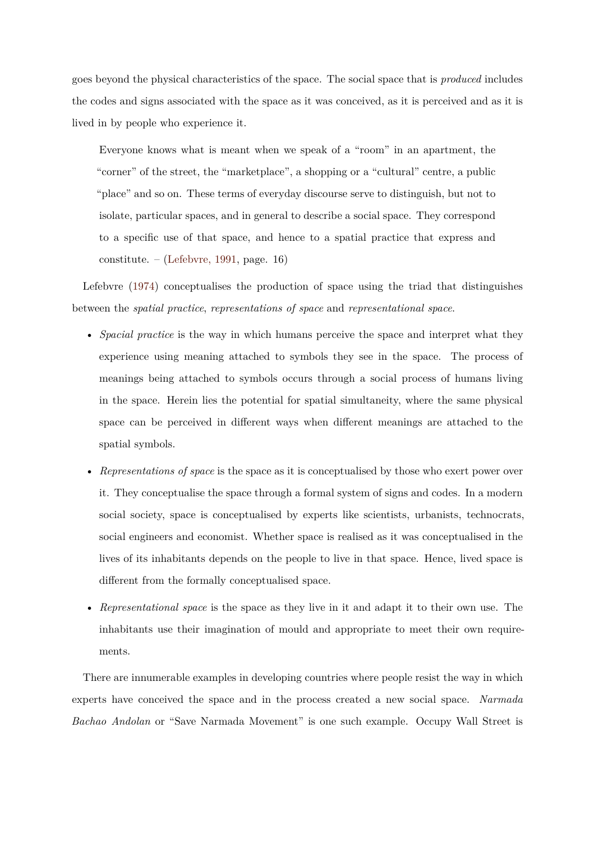goes beyond the physical characteristics of the space. The social space that is *produced* includes the codes and signs associated with the space as it was conceived, as it is perceived and as it is lived in by people who experience it.

Everyone knows what is meant when we speak of a "room" in an apartment, the "corner" of the street, the "marketplace", a shopping or a "cultural" centre, a public "place" and so on. These terms of everyday discourse serve to distinguish, but not to isolate, particular spaces, and in general to describe a social space. They correspond to a specific use of that space, and hence to a spatial practice that express and constitute. – (Lefebvre, 1991, page. 16)

Lefebvre (1974) conceptualises the production of space using the triad that distinguishes between the *spatial [practice](#page-17-6)*, *representations of space* and *representational space*.

- *Spacial [prac](#page-17-0)tice* is the way in which humans perceive the space and interpret what they experience using meaning attached to symbols they see in the space. The process of meanings being attached to symbols occurs through a social process of humans living in the space. Herein lies the potential for spatial simultaneity, where the same physical space can be perceived in different ways when different meanings are attached to the spatial symbols.
- *Representations of space* is the space as it is conceptualised by those who exert power over it. They conceptualise the space through a formal system of signs and codes. In a modern social society, space is conceptualised by experts like scientists, urbanists, technocrats, social engineers and economist. Whether space is realised as it was conceptualised in the lives of its inhabitants depends on the people to live in that space. Hence, lived space is different from the formally conceptualised space.
- *Representational space* is the space as they live in it and adapt it to their own use. The inhabitants use their imagination of mould and appropriate to meet their own requirements.

There are innumerable examples in developing countries where people resist the way in which experts have conceived the space and in the process created a new social space. *Narmada Bachao Andolan* or "Save Narmada Movement" is one such example. Occupy Wall Street is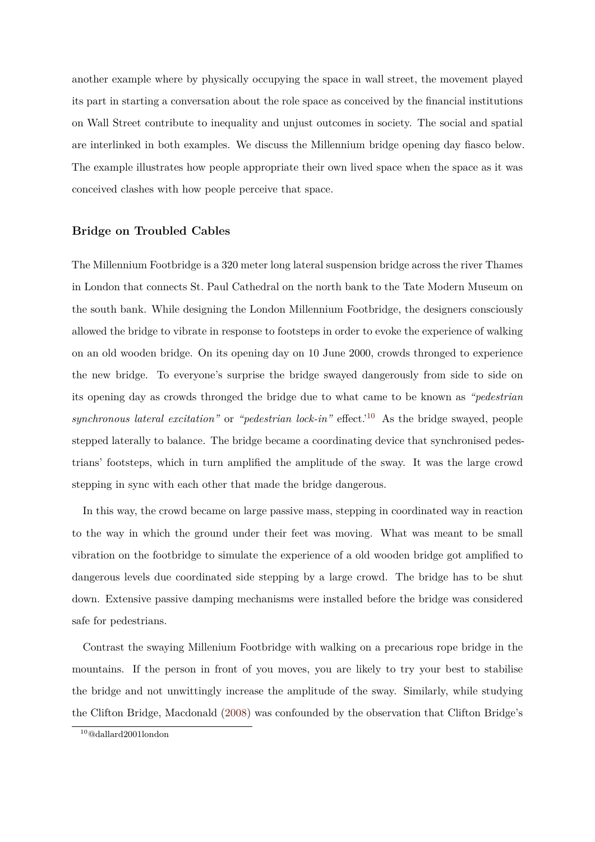another example where by physically occupying the space in wall street, the movement played its part in starting a conversation about the role space as conceived by the financial institutions on Wall Street contribute to inequality and unjust outcomes in society. The social and spatial are interlinked in both examples. We discuss the Millennium bridge opening day fiasco below. The example illustrates how people appropriate their own lived space when the space as it was conceived clashes with how people perceive that space.

### **Bridge on Troubled Cables**

The Millennium Footbridge is a 320 meter long lateral suspension bridge across the river Thames in London that connects St. Paul Cathedral on the north bank to the Tate Modern Museum on the south bank. While designing the London Millennium Footbridge, the designers consciously allowed the bridge to vibrate in response to footsteps in order to evoke the experience of walking on an old wooden bridge. On its opening day on 10 June 2000, crowds thronged to experience the new bridge. To everyone's surprise the bridge swayed dangerously from side to side on its opening day as crowds thronged the bridge due to what came to be known as *"pedestrian synchronous lateral excitation"* or *"pedestrian lock-in"* effect.'<sup>10</sup> As the bridge swayed, people stepped laterally to balance. The bridge became a coordinating device that synchronised pedestrians' footsteps, which in turn amplified the amplitude of the sway. It was the large crowd stepping in sync with each other that made the bridge dangerous.

In this way, the crowd became on large passive mass, stepping in coordinated way in reaction to the way in which the ground under their feet was moving. What was meant to be small vibration on the footbridge to simulate the experience of a old wooden bridge got amplified to dangerous levels due coordinated side stepping by a large crowd. The bridge has to be shut down. Extensive passive damping mechanisms were installed before the bridge was considered safe for pedestrians.

Contrast the swaying Millenium Footbridge with walking on a precarious rope bridge in the mountains. If the person in front of you moves, you are likely to try your best to stabilise the bridge and not unwittingly increase the amplitude of the sway. Similarly, while studying the Clifton Bridge, Macdonald (2008) was confounded by the observation that Clifton Bridge's

<sup>10</sup>@dallard2001london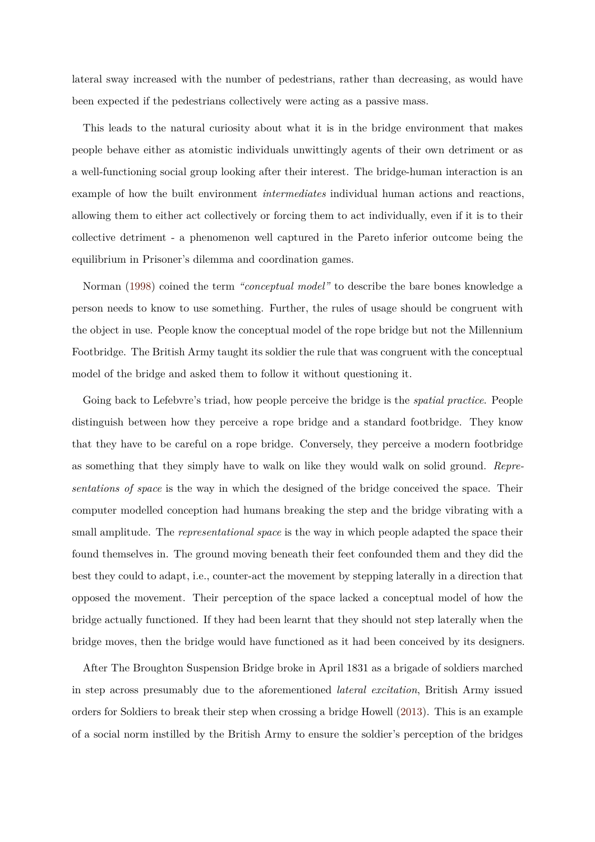lateral sway increased with the number of pedestrians, rather than decreasing, as would have been expected if the pedestrians collectively were acting as a passive mass.

This leads to the natural curiosity about what it is in the bridge environment that makes people behave either as atomistic individuals unwittingly agents of their own detriment or as a well-functioning social group looking after their interest. The bridge-human interaction is an example of how the built environment *intermediates* individual human actions and reactions, allowing them to either act collectively or forcing them to act individually, even if it is to their collective detriment - a phenomenon well captured in the Pareto inferior outcome being the equilibrium in Prisoner's dilemma and coordination games.

Norman (1998) coined the term *"conceptual model"* to describe the bare bones knowledge a person needs to know to use something. Further, the rules of usage should be congruent with the object i[n use.](#page-17-10) People know the conceptual model of the rope bridge but not the Millennium Footbridge. The British Army taught its soldier the rule that was congruent with the conceptual model of the bridge and asked them to follow it without questioning it.

Going back to Lefebvre's triad, how people perceive the bridge is the *spatial practice*. People distinguish between how they perceive a rope bridge and a standard footbridge. They know that they have to be careful on a rope bridge. Conversely, they perceive a modern footbridge as something that they simply have to walk on like they would walk on solid ground. *Representations of space* is the way in which the designed of the bridge conceived the space. Their computer modelled conception had humans breaking the step and the bridge vibrating with a small amplitude. The *representational space* is the way in which people adapted the space their found themselves in. The ground moving beneath their feet confounded them and they did the best they could to adapt, i.e., counter-act the movement by stepping laterally in a direction that opposed the movement. Their perception of the space lacked a conceptual model of how the bridge actually functioned. If they had been learnt that they should not step laterally when the bridge moves, then the bridge would have functioned as it had been conceived by its designers.

After The Broughton Suspension Bridge broke in April 1831 as a brigade of soldiers marched in step across presumably due to the aforementioned *lateral excitation*, British Army issued orders for Soldiers to break their step when crossing a bridge Howell (2013). This is an example of a social norm instilled by the British Army to ensure the soldier's perception of the bridges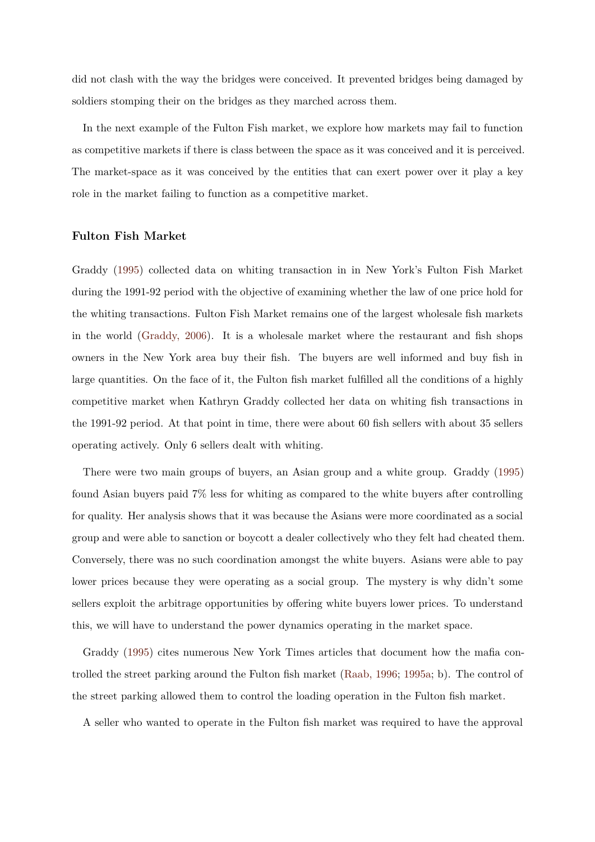did not clash with the way the bridges were conceived. It prevented bridges being damaged by soldiers stomping their on the bridges as they marched across them.

In the next example of the Fulton Fish market, we explore how markets may fail to function as competitive markets if there is class between the space as it was conceived and it is perceived. The market-space as it was conceived by the entities that can exert power over it play a key role in the market failing to function as a competitive market.

### **Fulton Fish Market**

Graddy (1995) collected data on whiting transaction in in New York's Fulton Fish Market during the 1991-92 period with the objective of examining whether the law of one price hold for the whiti[ng tra](#page-16-1)nsactions. Fulton Fish Market remains one of the largest wholesale fish markets in the world (Graddy, 2006). It is a wholesale market where the restaurant and fish shops owners in the New York area buy their fish. The buyers are well informed and buy fish in large quantitie[s. On the face](#page-16-12) of it, the Fulton fish market fulfilled all the conditions of a highly competitive market when Kathryn Graddy collected her data on whiting fish transactions in the 1991-92 period. At that point in time, there were about 60 fish sellers with about 35 sellers operating actively. Only 6 sellers dealt with whiting.

There were two main groups of buyers, an Asian group and a white group. Graddy (1995) found Asian buyers paid 7% less for whiting as compared to the white buyers after controlling for quality. Her analysis shows that it was because the Asians were more coordinated as a [socia](#page-16-1)l group and were able to sanction or boycott a dealer collectively who they felt had cheated them. Conversely, there was no such coordination amongst the white buyers. Asians were able to pay lower prices because they were operating as a social group. The mystery is why didn't some sellers exploit the arbitrage opportunities by offering white buyers lower prices. To understand this, we will have to understand the power dynamics operating in the market space.

Graddy (1995) cites numerous New York Times articles that document how the mafia controlled the street parking around the Fulton fish market (Raab, 1996; 1995a; b). The control of the street p[arkin](#page-16-1)g allowed them to control the loading operation in the Fulton fish market.

A seller who wanted to operate in the Fulton fish mar[ket was requ](#page-18-1)[ired to](#page-17-11) have the approval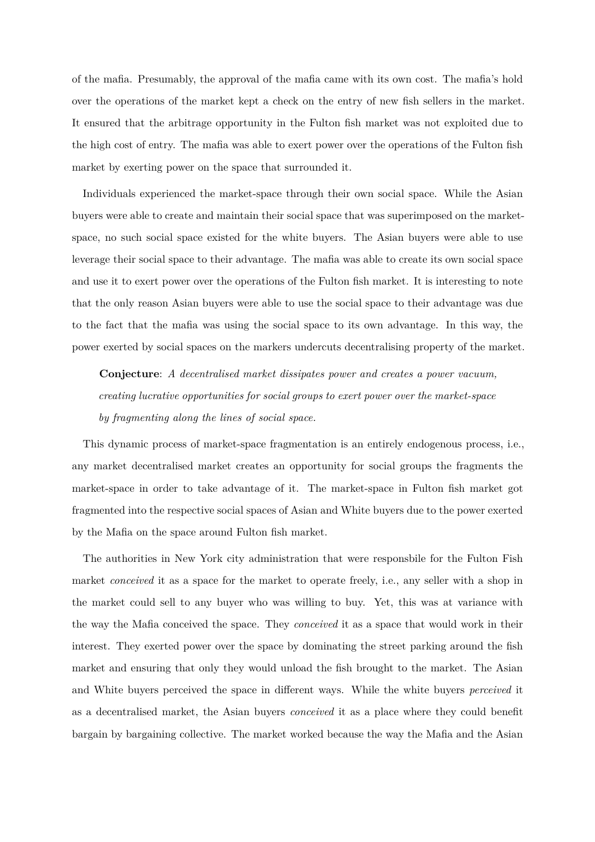of the mafia. Presumably, the approval of the mafia came with its own cost. The mafia's hold over the operations of the market kept a check on the entry of new fish sellers in the market. It ensured that the arbitrage opportunity in the Fulton fish market was not exploited due to the high cost of entry. The mafia was able to exert power over the operations of the Fulton fish market by exerting power on the space that surrounded it.

Individuals experienced the market-space through their own social space. While the Asian buyers were able to create and maintain their social space that was superimposed on the marketspace, no such social space existed for the white buyers. The Asian buyers were able to use leverage their social space to their advantage. The mafia was able to create its own social space and use it to exert power over the operations of the Fulton fish market. It is interesting to note that the only reason Asian buyers were able to use the social space to their advantage was due to the fact that the mafia was using the social space to its own advantage. In this way, the power exerted by social spaces on the markers undercuts decentralising property of the market.

**Conjecture**: *A decentralised market dissipates power and creates a power vacuum, creating lucrative opportunities for social groups to exert power over the market-space by fragmenting along the lines of social space.*

This dynamic process of market-space fragmentation is an entirely endogenous process, i.e., any market decentralised market creates an opportunity for social groups the fragments the market-space in order to take advantage of it. The market-space in Fulton fish market got fragmented into the respective social spaces of Asian and White buyers due to the power exerted by the Mafia on the space around Fulton fish market.

The authorities in New York city administration that were responsbile for the Fulton Fish market *conceived* it as a space for the market to operate freely, i.e., any seller with a shop in the market could sell to any buyer who was willing to buy. Yet, this was at variance with the way the Mafia conceived the space. They *conceived* it as a space that would work in their interest. They exerted power over the space by dominating the street parking around the fish market and ensuring that only they would unload the fish brought to the market. The Asian and White buyers perceived the space in different ways. While the white buyers *perceived* it as a decentralised market, the Asian buyers *conceived* it as a place where they could benefit bargain by bargaining collective. The market worked because the way the Mafia and the Asian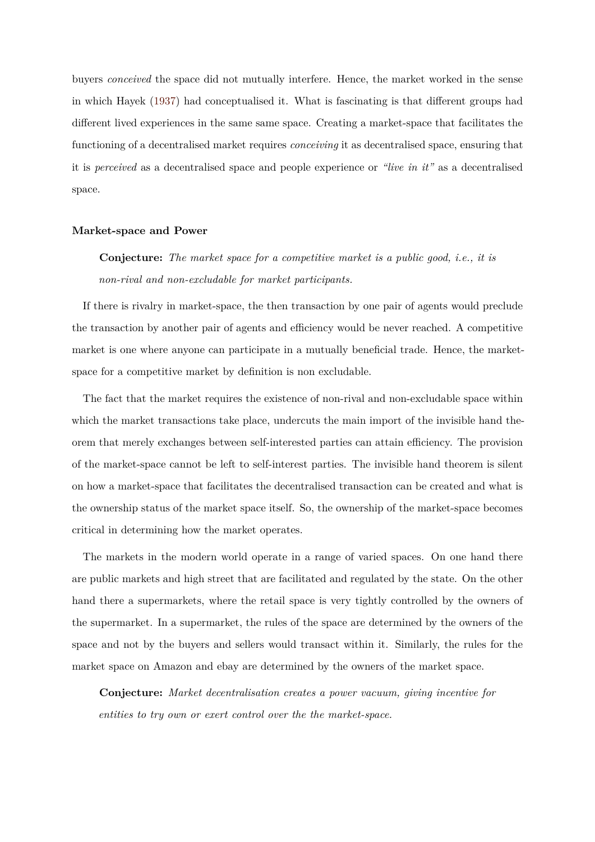buyers *conceived* the space did not mutually interfere. Hence, the market worked in the sense in which Hayek (1937) had conceptualised it. What is fascinating is that different groups had different lived experiences in the same same space. Creating a market-space that facilitates the functioning of a [decent](#page-17-3)ralised market requires *conceiving* it as decentralised space, ensuring that it is *perceived* as a decentralised space and people experience or *"live in it"* as a decentralised space.

#### **Market-space and Power**

**Conjecture:** *The market space for a competitive market is a public good, i.e., it is non-rival and non-excludable for market participants.*

If there is rivalry in market-space, the then transaction by one pair of agents would preclude the transaction by another pair of agents and efficiency would be never reached. A competitive market is one where anyone can participate in a mutually beneficial trade. Hence, the marketspace for a competitive market by definition is non excludable.

The fact that the market requires the existence of non-rival and non-excludable space within which the market transactions take place, undercuts the main import of the invisible hand theorem that merely exchanges between self-interested parties can attain efficiency. The provision of the market-space cannot be left to self-interest parties. The invisible hand theorem is silent on how a market-space that facilitates the decentralised transaction can be created and what is the ownership status of the market space itself. So, the ownership of the market-space becomes critical in determining how the market operates.

The markets in the modern world operate in a range of varied spaces. On one hand there are public markets and high street that are facilitated and regulated by the state. On the other hand there a supermarkets, where the retail space is very tightly controlled by the owners of the supermarket. In a supermarket, the rules of the space are determined by the owners of the space and not by the buyers and sellers would transact within it. Similarly, the rules for the market space on Amazon and ebay are determined by the owners of the market space.

**Conjecture:** *Market decentralisation creates a power vacuum, giving incentive for entities to try own or exert control over the the market-space.*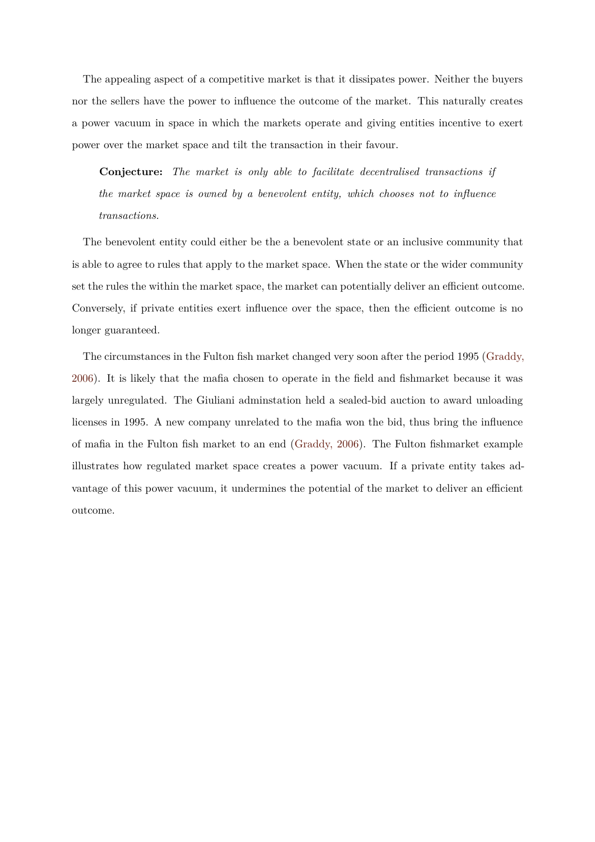The appealing aspect of a competitive market is that it dissipates power. Neither the buyers nor the sellers have the power to influence the outcome of the market. This naturally creates a power vacuum in space in which the markets operate and giving entities incentive to exert power over the market space and tilt the transaction in their favour.

**Conjecture:** *The market is only able to facilitate decentralised transactions if the market space is owned by a benevolent entity, which chooses not to influence transactions.*

The benevolent entity could either be the a benevolent state or an inclusive community that is able to agree to rules that apply to the market space. When the state or the wider community set the rules the within the market space, the market can potentially deliver an efficient outcome. Conversely, if private entities exert influence over the space, then the efficient outcome is no longer guaranteed.

The circumstances in the Fulton fish market changed very soon after the period 1995 (Graddy, 2006). It is likely that the mafia chosen to operate in the field and fishmarket because it was largely unregulated. The Giuliani adminstation held a sealed-bid auction to award u[nloading](#page-16-12) [licens](#page-16-12)es in 1995. A new company unrelated to the mafia won the bid, thus bring the influence of mafia in the Fulton fish market to an end (Graddy, 2006). The Fulton fishmarket example illustrates how regulated market space creates a power vacuum. If a private entity takes advantage of this power vacuum, it undermines t[he potential o](#page-16-12)f the market to deliver an efficient outcome.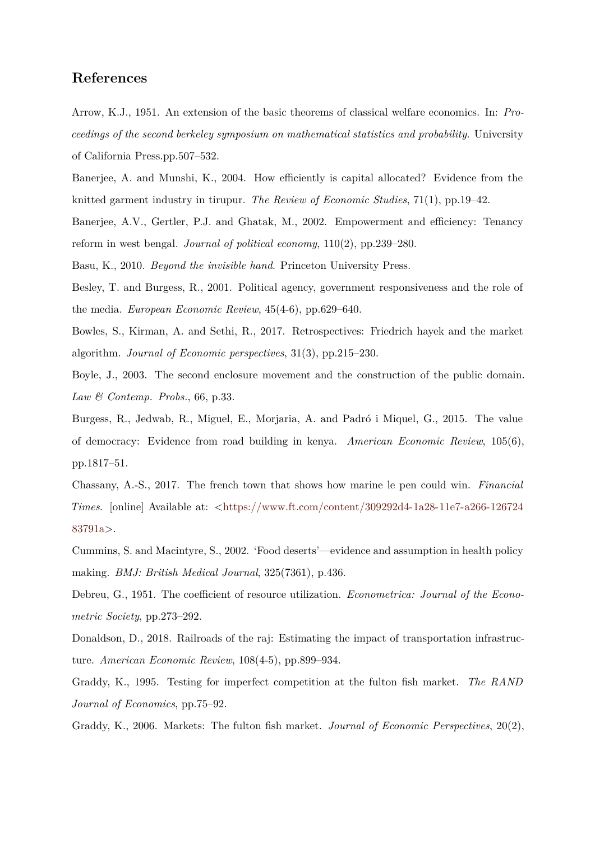## **References**

Arrow, K.J., 1951. An extension of the basic theorems of classical welfare economics. In: *Proceedings of the second berkeley symposium on mathematical statistics and probability*. University of California Press.pp.507–532.

<span id="page-16-4"></span>Banerjee, A. and Munshi, K., 2004. How efficiently is capital allocated? Evidence from the knitted garment industry in tirupur. *The Review of Economic Studies*, 71(1), pp.19–42.

<span id="page-16-3"></span>Banerjee, A.V., Gertler, P.J. and Ghatak, M., 2002. Empowerment and efficiency: Tenancy reform in west bengal. *Journal of political economy*, 110(2), pp.239–280.

<span id="page-16-11"></span>Basu, K., 2010. *Beyond the invisible hand*. Princeton University Press.

<span id="page-16-0"></span>Besley, T. and Burgess, R., 2001. Political agency, government responsiveness and the role of the media. *European Economic Review*, 45(4-6), pp.629–640.

<span id="page-16-2"></span>Bowles, S., Kirman, A. and Sethi, R., 2017. Retrospectives: Friedrich hayek and the market algorithm. *Journal of Economic perspectives*, 31(3), pp.215–230.

<span id="page-16-10"></span>Boyle, J., 2003. The second enclosure movement and the construction of the public domain. *Law & Contemp. Probs.*, 66, p.33.

<span id="page-16-7"></span>Burgess, R., Jedwab, R., Miguel, E., Morjaria, A. and Padró i Miquel, G., 2015. The value of democracy: Evidence from road building in kenya. *American Economic Review*, 105(6), pp.1817–51.

Chassany, A.-S., 2017. The french town that shows how marine le pen could win. *Financial Times.* [online] Available at: <https://www.ft.com/content/309292d4-1a28-11e7-a266-126724 83791a>.

<span id="page-16-8"></span>Cummins, S. and Macintyre, S., [2002. 'Food deserts'—evidence and assumption in health policy](https://www.ft.com/content/309292d4-1a28-11e7-a266-12672483791a) [making](https://www.ft.com/content/309292d4-1a28-11e7-a266-12672483791a). *BMJ: British Medical Journal*, 325(7361), p.436.

<span id="page-16-9"></span>Debreu, G., 1951. The coefficient of resource utilization. *Econometrica: Journal of the Econometric Society*, pp.273–292.

<span id="page-16-5"></span>Donaldson, D., 2018. Railroads of the raj: Estimating the impact of transportation infrastructure. *American Economic Review*, 108(4-5), pp.899–934.

<span id="page-16-6"></span>Graddy, K., 1995. Testing for imperfect competition at the fulton fish market. *The RAND Journal of Economics*, pp.75–92.

<span id="page-16-12"></span><span id="page-16-1"></span>Graddy, K., 2006. Markets: The fulton fish market. *Journal of Economic Perspectives*, 20(2),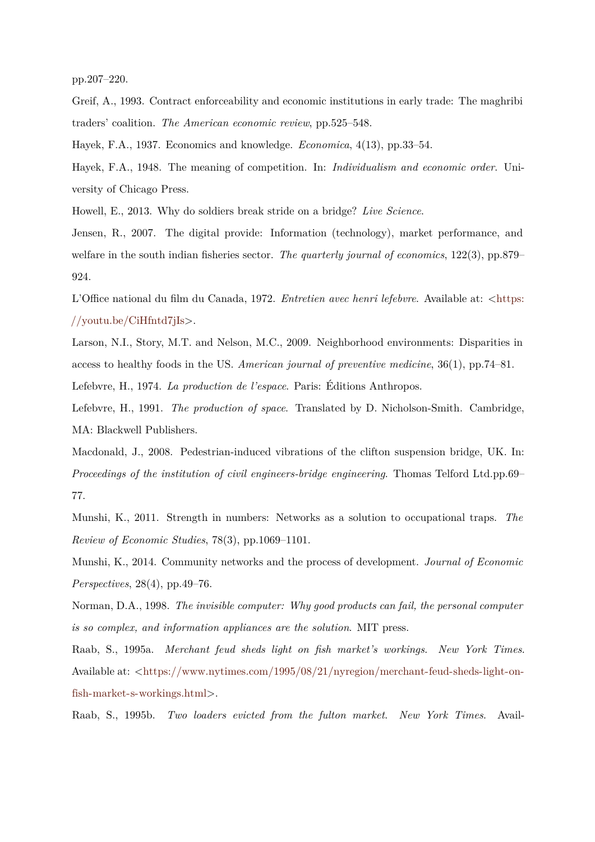pp.207–220.

Greif, A., 1993. Contract enforceability and economic institutions in early trade: The maghribi traders' coalition. *The American economic review*, pp.525–548.

<span id="page-17-1"></span>Hayek, F.A., 1937. Economics and knowledge. *Economica*, 4(13), pp.33–54.

<span id="page-17-3"></span>Hayek, F.A., 1948. The meaning of competition. In: *Individualism and economic order*. University of Chicago Press.

<span id="page-17-8"></span>Howell, E., 2013. Why do soldiers break stride on a bridge? *Live Science*.

Jensen, R., 2007. The digital provide: Information (technology), market performance, and welfare in the south indian fisheries sector. *The quarterly journal of economics*, 122(3), pp.879– 924.

<span id="page-17-5"></span>L'Office national du film du Canada, 1972. *Entretien avec henri lefebvre*. Available at: <https: //youtu.be/CiHfntd7jIs>.

<span id="page-17-9"></span>Larson, N.I., Story, M.T. and Nelson, M.C., 2009. Neighborhood environments: Dispari[ties in](https://youtu.be/CiHfntd7jIs) [access to healthy foods](https://youtu.be/CiHfntd7jIs) in the US. *American journal of preventive medicine*, 36(1), pp.74–81. Lefebvre, H., 1974. *La production de l'espace*. Paris: Éditions Anthropos.

<span id="page-17-7"></span><span id="page-17-0"></span>Lefebvre, H., 1991. *The production of space*. Translated by D. Nicholson-Smith. Cambridge, MA: Blackwell Publishers.

<span id="page-17-6"></span>Macdonald, J., 2008. Pedestrian-induced vibrations of the clifton suspension bridge, UK. In: *Proceedings of the institution of civil engineers-bridge engineering*. Thomas Telford Ltd.pp.69– 77.

Munshi, K., 2011. Strength in numbers: Networks as a solution to occupational traps. *The Review of Economic Studies*, 78(3), pp.1069–1101.

<span id="page-17-2"></span>Munshi, K., 2014. Community networks and the process of development. *Journal of Economic Perspectives*, 28(4), pp.49–76.

<span id="page-17-4"></span>Norman, D.A., 1998. *The invisible computer: Why good products can fail, the personal computer is so complex, and information appliances are the solution*. MIT press.

<span id="page-17-10"></span>Raab, S., 1995a. *Merchant feud sheds light on fish market's workings*. *New York Times*. Available at: <https://www.nytimes.com/1995/08/21/nyregion/merchant-feud-sheds-light-onfish-market-s-workings.html>.

<span id="page-17-11"></span>Raab, S., 1995b. *[Two loaders evicted from the fulton market](https://www.nytimes.com/1995/08/21/nyregion/merchant-feud-sheds-light-on-fish-market-s-workings.html)*. *New York Times*. Avail-